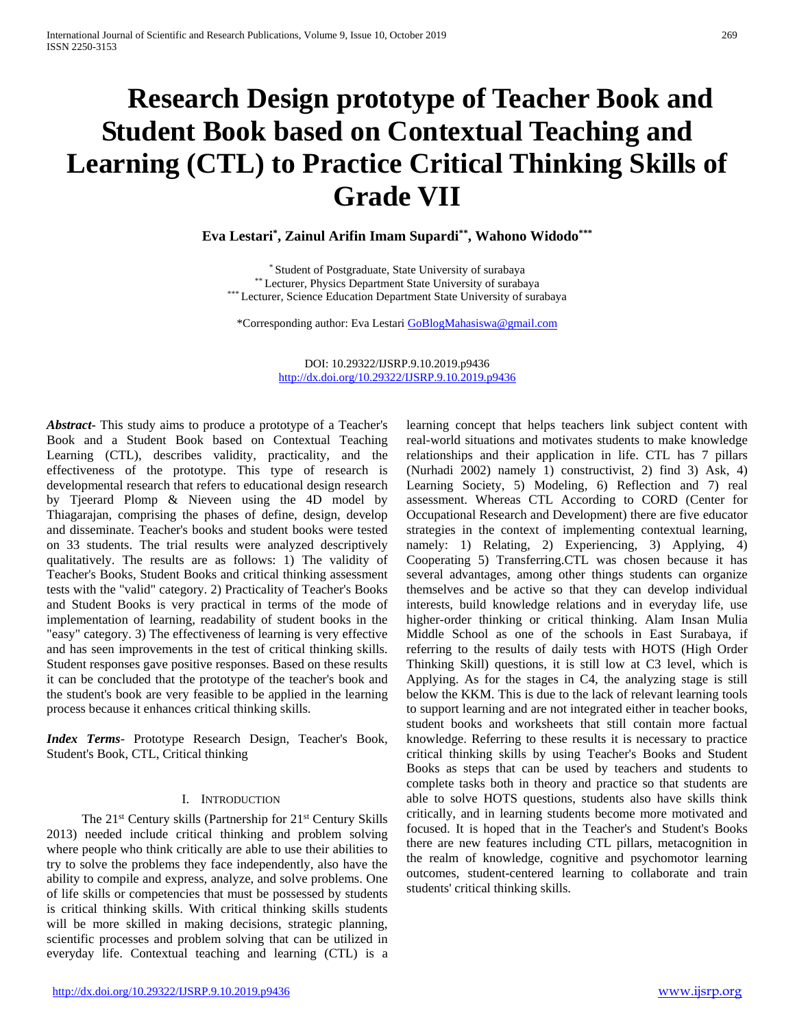# **Research Design prototype of Teacher Book and Student Book based on Contextual Teaching and Learning (CTL) to Practice Critical Thinking Skills of Grade VII**

**Eva Lestari\* , Zainul Arifin Imam Supardi\*\* , Wahono Widodo\*\*\***

\* Student of Postgraduate, State University of surabaya \*\* Lecturer, Physics Department State University of surabaya \*\*\* Lecturer, Science Education Department State University of surabaya

\*Corresponding author: Eva Lestari [GoBlogMahasiswa@gmail.com](mailto:GoBlogMahasiswa@gmail.com)

DOI: 10.29322/IJSRP.9.10.2019.p9436 <http://dx.doi.org/10.29322/IJSRP.9.10.2019.p9436>

*Abstract***-** This study aims to produce a prototype of a Teacher's Book and a Student Book based on Contextual Teaching Learning (CTL), describes validity, practicality, and the effectiveness of the prototype. This type of research is developmental research that refers to educational design research by Tjeerard Plomp & Nieveen using the 4D model by Thiagarajan, comprising the phases of define, design, develop and disseminate. Teacher's books and student books were tested on 33 students. The trial results were analyzed descriptively qualitatively. The results are as follows: 1) The validity of Teacher's Books, Student Books and critical thinking assessment tests with the "valid" category. 2) Practicality of Teacher's Books and Student Books is very practical in terms of the mode of implementation of learning, readability of student books in the "easy" category. 3) The effectiveness of learning is very effective and has seen improvements in the test of critical thinking skills. Student responses gave positive responses. Based on these results it can be concluded that the prototype of the teacher's book and the student's book are very feasible to be applied in the learning process because it enhances critical thinking skills.

*Index Terms*- Prototype Research Design, Teacher's Book, Student's Book, CTL, Critical thinking

## I. INTRODUCTION

The 21<sup>st</sup> Century skills (Partnership for 21<sup>st</sup> Century Skills 2013) needed include critical thinking and problem solving where people who think critically are able to use their abilities to try to solve the problems they face independently, also have the ability to compile and express, analyze, and solve problems. One of life skills or competencies that must be possessed by students is critical thinking skills. With critical thinking skills students will be more skilled in making decisions, strategic planning, scientific processes and problem solving that can be utilized in everyday life. Contextual teaching and learning (CTL) is a learning concept that helps teachers link subject content with real-world situations and motivates students to make knowledge relationships and their application in life. CTL has 7 pillars (Nurhadi 2002) namely 1) constructivist, 2) find 3) Ask, 4) Learning Society, 5) Modeling, 6) Reflection and 7) real assessment. Whereas CTL According to CORD (Center for Occupational Research and Development) there are five educator strategies in the context of implementing contextual learning, namely: 1) Relating, 2) Experiencing, 3) Applying, 4) Cooperating 5) Transferring.CTL was chosen because it has several advantages, among other things students can organize themselves and be active so that they can develop individual interests, build knowledge relations and in everyday life, use higher-order thinking or critical thinking. Alam Insan Mulia Middle School as one of the schools in East Surabaya, if referring to the results of daily tests with HOTS (High Order Thinking Skill) questions, it is still low at C3 level, which is Applying. As for the stages in C4, the analyzing stage is still below the KKM. This is due to the lack of relevant learning tools to support learning and are not integrated either in teacher books, student books and worksheets that still contain more factual knowledge. Referring to these results it is necessary to practice critical thinking skills by using Teacher's Books and Student Books as steps that can be used by teachers and students to complete tasks both in theory and practice so that students are able to solve HOTS questions, students also have skills think critically, and in learning students become more motivated and focused. It is hoped that in the Teacher's and Student's Books there are new features including CTL pillars, metacognition in the realm of knowledge, cognitive and psychomotor learning outcomes, student-centered learning to collaborate and train students' critical thinking skills.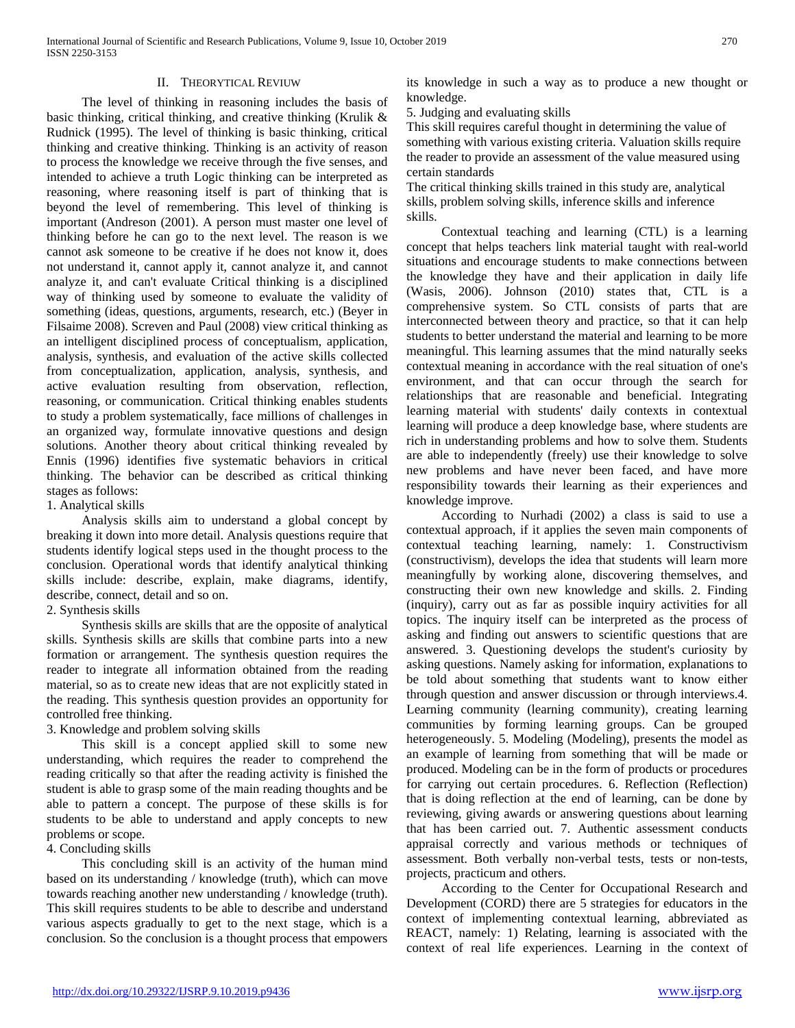## II. THEORYTICAL REVIUW

The level of thinking in reasoning includes the basis of basic thinking, critical thinking, and creative thinking (Krulik & Rudnick (1995). The level of thinking is basic thinking, critical thinking and creative thinking. Thinking is an activity of reason to process the knowledge we receive through the five senses, and intended to achieve a truth Logic thinking can be interpreted as reasoning, where reasoning itself is part of thinking that is beyond the level of remembering. This level of thinking is important (Andreson (2001). A person must master one level of thinking before he can go to the next level. The reason is we cannot ask someone to be creative if he does not know it, does not understand it, cannot apply it, cannot analyze it, and cannot analyze it, and can't evaluate Critical thinking is a disciplined way of thinking used by someone to evaluate the validity of something (ideas, questions, arguments, research, etc.) (Beyer in Filsaime 2008). Screven and Paul (2008) view critical thinking as an intelligent disciplined process of conceptualism, application, analysis, synthesis, and evaluation of the active skills collected from conceptualization, application, analysis, synthesis, and active evaluation resulting from observation, reflection, reasoning, or communication. Critical thinking enables students to study a problem systematically, face millions of challenges in an organized way, formulate innovative questions and design solutions. Another theory about critical thinking revealed by Ennis (1996) identifies five systematic behaviors in critical thinking. The behavior can be described as critical thinking stages as follows:

1. Analytical skills

Analysis skills aim to understand a global concept by breaking it down into more detail. Analysis questions require that students identify logical steps used in the thought process to the conclusion. Operational words that identify analytical thinking skills include: describe, explain, make diagrams, identify, describe, connect, detail and so on.

2. Synthesis skills

Synthesis skills are skills that are the opposite of analytical skills. Synthesis skills are skills that combine parts into a new formation or arrangement. The synthesis question requires the reader to integrate all information obtained from the reading material, so as to create new ideas that are not explicitly stated in the reading. This synthesis question provides an opportunity for controlled free thinking.

# 3. Knowledge and problem solving skills

This skill is a concept applied skill to some new understanding, which requires the reader to comprehend the reading critically so that after the reading activity is finished the student is able to grasp some of the main reading thoughts and be able to pattern a concept. The purpose of these skills is for students to be able to understand and apply concepts to new problems or scope.

4. Concluding skills

This concluding skill is an activity of the human mind based on its understanding / knowledge (truth), which can move towards reaching another new understanding / knowledge (truth). This skill requires students to be able to describe and understand various aspects gradually to get to the next stage, which is a conclusion. So the conclusion is a thought process that empowers

its knowledge in such a way as to produce a new thought or knowledge.

5. Judging and evaluating skills

This skill requires careful thought in determining the value of something with various existing criteria. Valuation skills require the reader to provide an assessment of the value measured using certain standards

The critical thinking skills trained in this study are, analytical skills, problem solving skills, inference skills and inference skills.

Contextual teaching and learning (CTL) is a learning concept that helps teachers link material taught with real-world situations and encourage students to make connections between the knowledge they have and their application in daily life (Wasis, 2006). Johnson (2010) states that, CTL is a comprehensive system. So CTL consists of parts that are interconnected between theory and practice, so that it can help students to better understand the material and learning to be more meaningful. This learning assumes that the mind naturally seeks contextual meaning in accordance with the real situation of one's environment, and that can occur through the search for relationships that are reasonable and beneficial. Integrating learning material with students' daily contexts in contextual learning will produce a deep knowledge base, where students are rich in understanding problems and how to solve them. Students are able to independently (freely) use their knowledge to solve new problems and have never been faced, and have more responsibility towards their learning as their experiences and knowledge improve.

According to Nurhadi (2002) a class is said to use a contextual approach, if it applies the seven main components of contextual teaching learning, namely: 1. Constructivism (constructivism), develops the idea that students will learn more meaningfully by working alone, discovering themselves, and constructing their own new knowledge and skills. 2. Finding (inquiry), carry out as far as possible inquiry activities for all topics. The inquiry itself can be interpreted as the process of asking and finding out answers to scientific questions that are answered. 3. Questioning develops the student's curiosity by asking questions. Namely asking for information, explanations to be told about something that students want to know either through question and answer discussion or through interviews.4. Learning community (learning community), creating learning communities by forming learning groups. Can be grouped heterogeneously. 5. Modeling (Modeling), presents the model as an example of learning from something that will be made or produced. Modeling can be in the form of products or procedures for carrying out certain procedures. 6. Reflection (Reflection) that is doing reflection at the end of learning, can be done by reviewing, giving awards or answering questions about learning that has been carried out. 7. Authentic assessment conducts appraisal correctly and various methods or techniques of assessment. Both verbally non-verbal tests, tests or non-tests, projects, practicum and others.

According to the Center for Occupational Research and Development (CORD) there are 5 strategies for educators in the context of implementing contextual learning, abbreviated as REACT, namely: 1) Relating, learning is associated with the context of real life experiences. Learning in the context of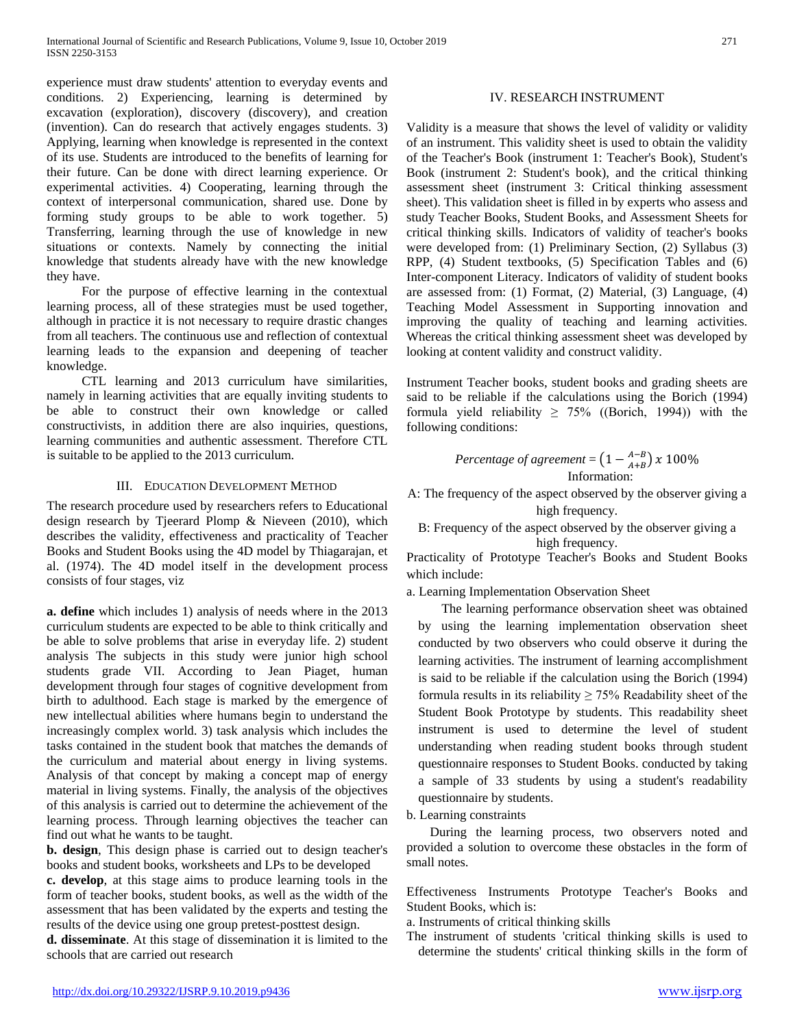experience must draw students' attention to everyday events and conditions. 2) Experiencing, learning is determined by excavation (exploration), discovery (discovery), and creation (invention). Can do research that actively engages students. 3) Applying, learning when knowledge is represented in the context of its use. Students are introduced to the benefits of learning for their future. Can be done with direct learning experience. Or experimental activities. 4) Cooperating, learning through the context of interpersonal communication, shared use. Done by forming study groups to be able to work together. 5) Transferring, learning through the use of knowledge in new situations or contexts. Namely by connecting the initial knowledge that students already have with the new knowledge they have.

For the purpose of effective learning in the contextual learning process, all of these strategies must be used together, although in practice it is not necessary to require drastic changes from all teachers. The continuous use and reflection of contextual learning leads to the expansion and deepening of teacher knowledge.

CTL learning and 2013 curriculum have similarities, namely in learning activities that are equally inviting students to be able to construct their own knowledge or called constructivists, in addition there are also inquiries, questions, learning communities and authentic assessment. Therefore CTL is suitable to be applied to the 2013 curriculum.

# III. EDUCATION DEVELOPMENT METHOD

The research procedure used by researchers refers to Educational design research by Tjeerard Plomp & Nieveen (2010), which describes the validity, effectiveness and practicality of Teacher Books and Student Books using the 4D model by Thiagarajan, et al. (1974). The 4D model itself in the development process consists of four stages, viz

**a. define** which includes 1) analysis of needs where in the 2013 curriculum students are expected to be able to think critically and be able to solve problems that arise in everyday life. 2) student analysis The subjects in this study were junior high school students grade VII. According to Jean Piaget, human development through four stages of cognitive development from birth to adulthood. Each stage is marked by the emergence of new intellectual abilities where humans begin to understand the increasingly complex world. 3) task analysis which includes the tasks contained in the student book that matches the demands of the curriculum and material about energy in living systems. Analysis of that concept by making a concept map of energy material in living systems. Finally, the analysis of the objectives of this analysis is carried out to determine the achievement of the learning process. Through learning objectives the teacher can find out what he wants to be taught.

**b. design**, This design phase is carried out to design teacher's books and student books, worksheets and LPs to be developed

**c. develop**, at this stage aims to produce learning tools in the form of teacher books, student books, as well as the width of the assessment that has been validated by the experts and testing the results of the device using one group pretest-posttest design.

**d. disseminate**. At this stage of dissemination it is limited to the schools that are carried out research

# IV. RESEARCH INSTRUMENT

Validity is a measure that shows the level of validity or validity of an instrument. This validity sheet is used to obtain the validity of the Teacher's Book (instrument 1: Teacher's Book), Student's Book (instrument 2: Student's book), and the critical thinking assessment sheet (instrument 3: Critical thinking assessment sheet). This validation sheet is filled in by experts who assess and study Teacher Books, Student Books, and Assessment Sheets for critical thinking skills. Indicators of validity of teacher's books were developed from: (1) Preliminary Section, (2) Syllabus (3) RPP, (4) Student textbooks, (5) Specification Tables and (6) Inter-component Literacy. Indicators of validity of student books are assessed from: (1) Format, (2) Material, (3) Language, (4) Teaching Model Assessment in Supporting innovation and improving the quality of teaching and learning activities. Whereas the critical thinking assessment sheet was developed by looking at content validity and construct validity.

Instrument Teacher books, student books and grading sheets are said to be reliable if the calculations using the Borich (1994) formula yield reliability  $\geq 75\%$  ((Borich, 1994)) with the following conditions:

$$
Percentage\ of\ agreement = \left(1 - \frac{A-B}{A+B}\right) x\ 100\%
$$
  
Information:

A: The frequency of the aspect observed by the observer giving a high frequency.

B: Frequency of the aspect observed by the observer giving a high frequency.

Practicality of Prototype Teacher's Books and Student Books which include:

a. Learning Implementation Observation Sheet

The learning performance observation sheet was obtained by using the learning implementation observation sheet conducted by two observers who could observe it during the learning activities. The instrument of learning accomplishment is said to be reliable if the calculation using the Borich (1994) formula results in its reliability  $\geq$  75% Readability sheet of the Student Book Prototype by students. This readability sheet instrument is used to determine the level of student understanding when reading student books through student questionnaire responses to Student Books. conducted by taking a sample of 33 students by using a student's readability questionnaire by students.

b. Learning constraints

During the learning process, two observers noted and provided a solution to overcome these obstacles in the form of small notes.

Effectiveness Instruments Prototype Teacher's Books and Student Books, which is:

a. Instruments of critical thinking skills

The instrument of students 'critical thinking skills is used to determine the students' critical thinking skills in the form of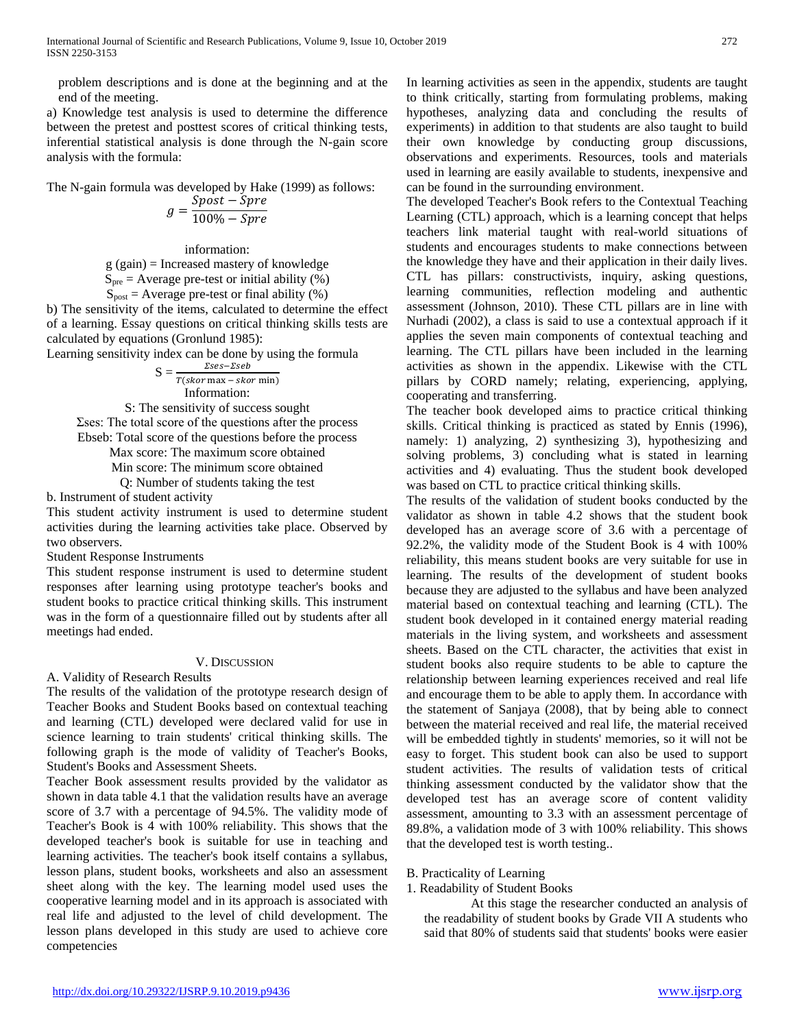problem descriptions and is done at the beginning and at the end of the meeting.

a) Knowledge test analysis is used to determine the difference between the pretest and posttest scores of critical thinking tests, inferential statistical analysis is done through the N-gain score analysis with the formula:

The N-gain formula was developed by Hake (1999) as follows:

$$
g = \frac{Spost - Spre}{100\% - Spre}
$$

information: g (gain) = Increased mastery of knowledge  $S_{pre}$  = Average pre-test or initial ability (%)  $S<sub>post</sub>$  = Average pre-test or final ability (%)

b) The sensitivity of the items, calculated to determine the effect of a learning. Essay questions on critical thinking skills tests are calculated by equations (Gronlund 1985):

Learning sensitivity index can be done by using the formula

$$
S = \frac{\Sigma ses - \Sigma seb}{T(\text{skor max} - \text{skor min})}
$$
  
Information:

S: The sensitivity of success sought

Σses: The total score of the questions after the process Ebseb: Total score of the questions before the process Max score: The maximum score obtained Min score: The minimum score obtained

Q: Number of students taking the test

b. Instrument of student activity

This student activity instrument is used to determine student activities during the learning activities take place. Observed by two observers.

Student Response Instruments

This student response instrument is used to determine student responses after learning using prototype teacher's books and student books to practice critical thinking skills. This instrument was in the form of a questionnaire filled out by students after all meetings had ended.

# V. DISCUSSION

A. Validity of Research Results

The results of the validation of the prototype research design of Teacher Books and Student Books based on contextual teaching and learning (CTL) developed were declared valid for use in science learning to train students' critical thinking skills. The following graph is the mode of validity of Teacher's Books, Student's Books and Assessment Sheets.

Teacher Book assessment results provided by the validator as shown in data table 4.1 that the validation results have an average score of 3.7 with a percentage of 94.5%. The validity mode of Teacher's Book is 4 with 100% reliability. This shows that the developed teacher's book is suitable for use in teaching and learning activities. The teacher's book itself contains a syllabus, lesson plans, student books, worksheets and also an assessment sheet along with the key. The learning model used uses the cooperative learning model and in its approach is associated with real life and adjusted to the level of child development. The lesson plans developed in this study are used to achieve core competencies

In learning activities as seen in the appendix, students are taught to think critically, starting from formulating problems, making hypotheses, analyzing data and concluding the results of experiments) in addition to that students are also taught to build their own knowledge by conducting group discussions, observations and experiments. Resources, tools and materials used in learning are easily available to students, inexpensive and can be found in the surrounding environment.

The developed Teacher's Book refers to the Contextual Teaching Learning (CTL) approach, which is a learning concept that helps teachers link material taught with real-world situations of students and encourages students to make connections between the knowledge they have and their application in their daily lives. CTL has pillars: constructivists, inquiry, asking questions, learning communities, reflection modeling and authentic assessment (Johnson, 2010). These CTL pillars are in line with Nurhadi (2002), a class is said to use a contextual approach if it applies the seven main components of contextual teaching and learning. The CTL pillars have been included in the learning activities as shown in the appendix. Likewise with the CTL pillars by CORD namely; relating, experiencing, applying, cooperating and transferring.

The teacher book developed aims to practice critical thinking skills. Critical thinking is practiced as stated by Ennis (1996), namely: 1) analyzing, 2) synthesizing 3), hypothesizing and solving problems, 3) concluding what is stated in learning activities and 4) evaluating. Thus the student book developed was based on CTL to practice critical thinking skills.

The results of the validation of student books conducted by the validator as shown in table 4.2 shows that the student book developed has an average score of 3.6 with a percentage of 92.2%, the validity mode of the Student Book is 4 with 100% reliability, this means student books are very suitable for use in learning. The results of the development of student books because they are adjusted to the syllabus and have been analyzed material based on contextual teaching and learning (CTL). The student book developed in it contained energy material reading materials in the living system, and worksheets and assessment sheets. Based on the CTL character, the activities that exist in student books also require students to be able to capture the relationship between learning experiences received and real life and encourage them to be able to apply them. In accordance with the statement of Sanjaya (2008), that by being able to connect between the material received and real life, the material received will be embedded tightly in students' memories, so it will not be easy to forget. This student book can also be used to support student activities. The results of validation tests of critical thinking assessment conducted by the validator show that the developed test has an average score of content validity assessment, amounting to 3.3 with an assessment percentage of 89.8%, a validation mode of 3 with 100% reliability. This shows that the developed test is worth testing..

# B. Practicality of Learning

1. Readability of Student Books

At this stage the researcher conducted an analysis of the readability of student books by Grade VII A students who said that 80% of students said that students' books were easier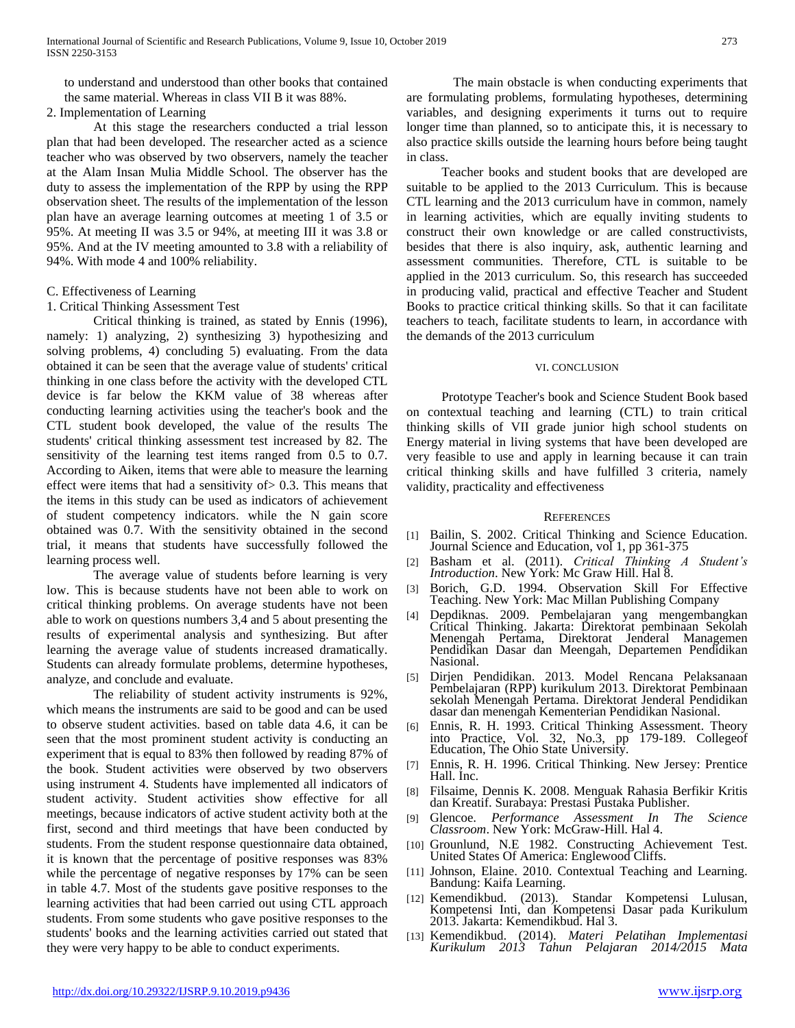to understand and understood than other books that contained the same material. Whereas in class VII B it was 88%.

2. Implementation of Learning

At this stage the researchers conducted a trial lesson plan that had been developed. The researcher acted as a science teacher who was observed by two observers, namely the teacher at the Alam Insan Mulia Middle School. The observer has the duty to assess the implementation of the RPP by using the RPP observation sheet. The results of the implementation of the lesson plan have an average learning outcomes at meeting 1 of 3.5 or 95%. At meeting II was 3.5 or 94%, at meeting III it was 3.8 or 95%. And at the IV meeting amounted to 3.8 with a reliability of 94%. With mode 4 and 100% reliability.

## C. Effectiveness of Learning

## 1. Critical Thinking Assessment Test

Critical thinking is trained, as stated by Ennis (1996), namely: 1) analyzing, 2) synthesizing 3) hypothesizing and solving problems, 4) concluding 5) evaluating. From the data obtained it can be seen that the average value of students' critical thinking in one class before the activity with the developed CTL device is far below the KKM value of 38 whereas after conducting learning activities using the teacher's book and the CTL student book developed, the value of the results The students' critical thinking assessment test increased by 82. The sensitivity of the learning test items ranged from 0.5 to 0.7. According to Aiken, items that were able to measure the learning effect were items that had a sensitivity of  $> 0.3$ . This means that the items in this study can be used as indicators of achievement of student competency indicators. while the N gain score obtained was 0.7. With the sensitivity obtained in the second trial, it means that students have successfully followed the learning process well.

The average value of students before learning is very low. This is because students have not been able to work on critical thinking problems. On average students have not been able to work on questions numbers 3,4 and 5 about presenting the results of experimental analysis and synthesizing. But after learning the average value of students increased dramatically. Students can already formulate problems, determine hypotheses, analyze, and conclude and evaluate.

The reliability of student activity instruments is 92%, which means the instruments are said to be good and can be used to observe student activities. based on table data 4.6, it can be seen that the most prominent student activity is conducting an experiment that is equal to 83% then followed by reading 87% of the book. Student activities were observed by two observers using instrument 4. Students have implemented all indicators of student activity. Student activities show effective for all meetings, because indicators of active student activity both at the first, second and third meetings that have been conducted by students. From the student response questionnaire data obtained, it is known that the percentage of positive responses was 83% while the percentage of negative responses by 17% can be seen in table 4.7. Most of the students gave positive responses to the learning activities that had been carried out using CTL approach students. From some students who gave positive responses to the students' books and the learning activities carried out stated that they were very happy to be able to conduct experiments.

The main obstacle is when conducting experiments that are formulating problems, formulating hypotheses, determining variables, and designing experiments it turns out to require longer time than planned, so to anticipate this, it is necessary to also practice skills outside the learning hours before being taught in class.

Teacher books and student books that are developed are suitable to be applied to the 2013 Curriculum. This is because CTL learning and the 2013 curriculum have in common, namely in learning activities, which are equally inviting students to construct their own knowledge or are called constructivists, besides that there is also inquiry, ask, authentic learning and assessment communities. Therefore, CTL is suitable to be applied in the 2013 curriculum. So, this research has succeeded in producing valid, practical and effective Teacher and Student Books to practice critical thinking skills. So that it can facilitate teachers to teach, facilitate students to learn, in accordance with the demands of the 2013 curriculum

#### VI. CONCLUSION

Prototype Teacher's book and Science Student Book based on contextual teaching and learning (CTL) to train critical thinking skills of VII grade junior high school students on Energy material in living systems that have been developed are very feasible to use and apply in learning because it can train critical thinking skills and have fulfilled 3 criteria, namely validity, practicality and effectiveness

### **REFERENCES**

- [1] Bailin, S. 2002. Critical Thinking and Science Education. Journal Science and Education, vol 1, pp 361-375
- [2] Basham et al. (2011). *Critical Thinking A Student's Introduction*. New York: Mc Graw Hill. Hal 8.
- [3] Borich, G.D. 1994. Observation Skill For Effective Teaching. New York: Mac Millan Publishing Company
- [4] Depdiknas. 2009. Pembelajaran yang mengembangkan Critical Thinking. Jakarta: Direktorat pembinaan Sekolah Menengah Pertama, Direktorat Jenderal Managemen Pendidikan Dasar dan Meengah, Departemen Pendidikan Nasional.
- [5] Dirjen Pendidikan. 2013. Model Rencana Pelaksanaan Pembelajaran (RPP) kurikulum 2013. Direktorat Pembinaan sekolah Menengah Pertama. Direktorat Jenderal Pendidikan dasar dan menengah Kementerian Pendidikan Nasional.
- [6] Ennis, R. H. 1993. Critical Thinking Assessment. Theory into Practice, Vol. 32, No.3, pp 179-189. Collegeof Education, The Ohio State University.
- [7] Ennis, R. H. 1996. Critical Thinking. New Jersey: Prentice Hall. Inc.
- [8] Filsaime, Dennis K. 2008. Menguak Rahasia Berfikir Kritis dan Kreatif. Surabaya: Prestasi Pustaka Publisher.
- [9] Glencoe. *Performance Assessment In The Science Classroom*. New York: McGraw-Hill. Hal 4.
- [10] Grounlund, N.E 1982. Constructing Achievement Test. United States Of America: Englewood Cliffs.
- [11] Johnson, Elaine. 2010. Contextual Teaching and Learning. Bandung: Kaifa Learning.
- [12] Kemendikbud. (2013). Standar Kompetensi Lulusan, Kompetensi Inti, dan Kompetensi Dasar pada Kurikulum 2013. Jakarta: Kemendikbud. Hal 3.
- [13] Kemendikbud. (2014). *Materi Pelatihan Implementasi Kurikulum 2013 Tahun Pelajaran 2014/2015 Mata*